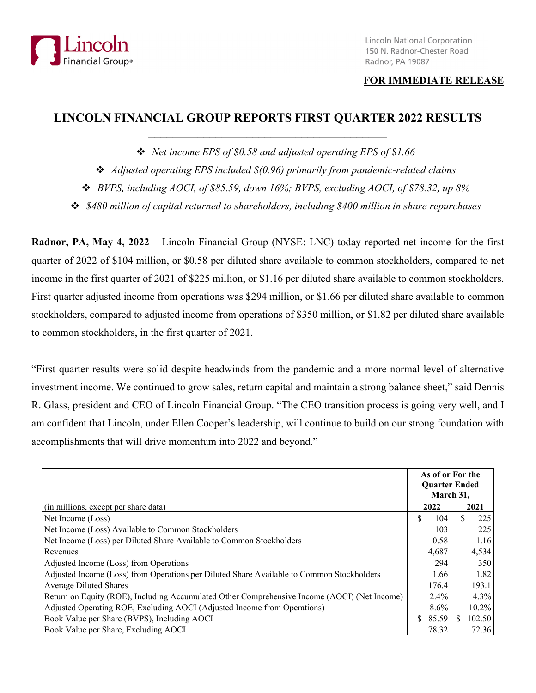

**Lincoln National Corporation** 150 N. Radnor-Chester Road Radnor, PA 19087

### **FOR IMMEDIATE RELEASE**

# **LINCOLN FINANCIAL GROUP REPORTS FIRST QUARTER 2022 RESULTS** \_\_\_\_\_\_\_\_\_\_\_\_\_\_\_\_\_\_\_\_\_\_\_\_\_\_\_\_\_\_\_\_\_\_\_\_\_\_\_

*Net income EPS of \$0.58 and adjusted operating EPS of \$1.66* 

*Adjusted operating EPS included \$(0.96) primarily from pandemic-related claims*

*BVPS, including AOCI, of \$85.59, down 16%; BVPS, excluding AOCI, of \$78.32, up 8%* 

*\$480 million of capital returned to shareholders, including \$400 million in share repurchases* 

**Radnor, PA, May 4, 2022 –** Lincoln Financial Group (NYSE: LNC) today reported net income for the first quarter of 2022 of \$104 million, or \$0.58 per diluted share available to common stockholders, compared to net income in the first quarter of 2021 of \$225 million, or \$1.16 per diluted share available to common stockholders. First quarter adjusted income from operations was \$294 million, or \$1.66 per diluted share available to common stockholders, compared to adjusted income from operations of \$350 million, or \$1.82 per diluted share available to common stockholders, in the first quarter of 2021.

"First quarter results were solid despite headwinds from the pandemic and a more normal level of alternative investment income. We continued to grow sales, return capital and maintain a strong balance sheet," said Dennis R. Glass, president and CEO of Lincoln Financial Group. "The CEO transition process is going very well, and I am confident that Lincoln, under Ellen Cooper's leadership, will continue to build on our strong foundation with accomplishments that will drive momentum into 2022 and beyond."

|                                                                                              | As of or For the<br><b>Quarter Ended</b><br>March 31, |       |     |          |  |
|----------------------------------------------------------------------------------------------|-------------------------------------------------------|-------|-----|----------|--|
| (in millions, except per share data)                                                         | 2022                                                  |       |     | 2021     |  |
| Net Income (Loss)                                                                            | \$                                                    | 104   | \$. | 225      |  |
| Net Income (Loss) Available to Common Stockholders                                           |                                                       | 103   |     | 225      |  |
| Net Income (Loss) per Diluted Share Available to Common Stockholders                         |                                                       | 0.58  |     | 1.16     |  |
| Revenues                                                                                     |                                                       | 4,687 |     | 4,534    |  |
| Adjusted Income (Loss) from Operations                                                       |                                                       | 294   |     | 350      |  |
| Adjusted Income (Loss) from Operations per Diluted Share Available to Common Stockholders    |                                                       | 1.66  |     | 1.82     |  |
| <b>Average Diluted Shares</b>                                                                |                                                       | 176.4 |     | 193.1    |  |
| Return on Equity (ROE), Including Accumulated Other Comprehensive Income (AOCI) (Net Income) |                                                       | 2.4%  |     | $4.3\%$  |  |
| Adjusted Operating ROE, Excluding AOCI (Adjusted Income from Operations)                     |                                                       | 8.6%  |     | $10.2\%$ |  |
| Book Value per Share (BVPS), Including AOCI                                                  | S.                                                    | 85.59 |     | 102.50   |  |
| Book Value per Share, Excluding AOCI                                                         |                                                       | 78.32 |     | 72.36    |  |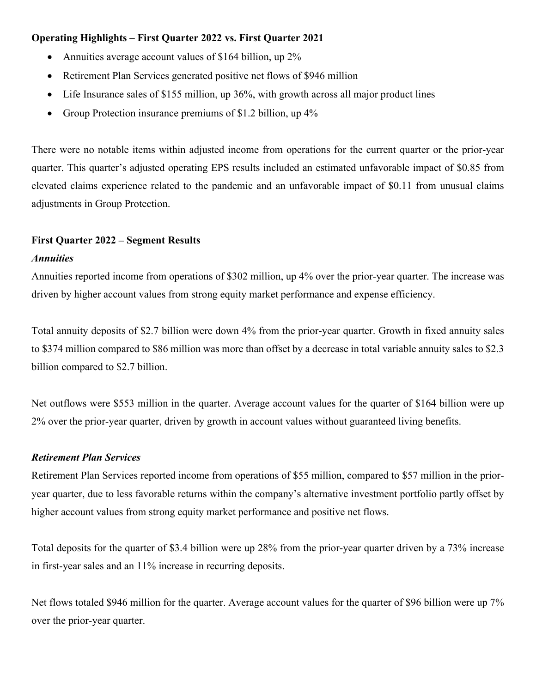### **Operating Highlights – First Quarter 2022 vs. First Quarter 2021**

- Annuities average account values of \$164 billion, up 2%
- Retirement Plan Services generated positive net flows of \$946 million
- Life Insurance sales of \$155 million, up 36%, with growth across all major product lines
- Group Protection insurance premiums of \$1.2 billion, up 4%

There were no notable items within adjusted income from operations for the current quarter or the prior-year quarter. This quarter's adjusted operating EPS results included an estimated unfavorable impact of \$0.85 from elevated claims experience related to the pandemic and an unfavorable impact of \$0.11 from unusual claims adjustments in Group Protection.

# **First Quarter 2022 – Segment Results**

### *Annuities*

Annuities reported income from operations of \$302 million, up 4% over the prior-year quarter. The increase was driven by higher account values from strong equity market performance and expense efficiency.

Total annuity deposits of \$2.7 billion were down 4% from the prior-year quarter. Growth in fixed annuity sales to \$374 million compared to \$86 million was more than offset by a decrease in total variable annuity sales to \$2.3 billion compared to \$2.7 billion.

Net outflows were \$553 million in the quarter. Average account values for the quarter of \$164 billion were up 2% over the prior-year quarter, driven by growth in account values without guaranteed living benefits.

# *Retirement Plan Services*

Retirement Plan Services reported income from operations of \$55 million, compared to \$57 million in the prioryear quarter, due to less favorable returns within the company's alternative investment portfolio partly offset by higher account values from strong equity market performance and positive net flows.

Total deposits for the quarter of \$3.4 billion were up 28% from the prior-year quarter driven by a 73% increase in first-year sales and an 11% increase in recurring deposits.

Net flows totaled \$946 million for the quarter. Average account values for the quarter of \$96 billion were up 7% over the prior-year quarter.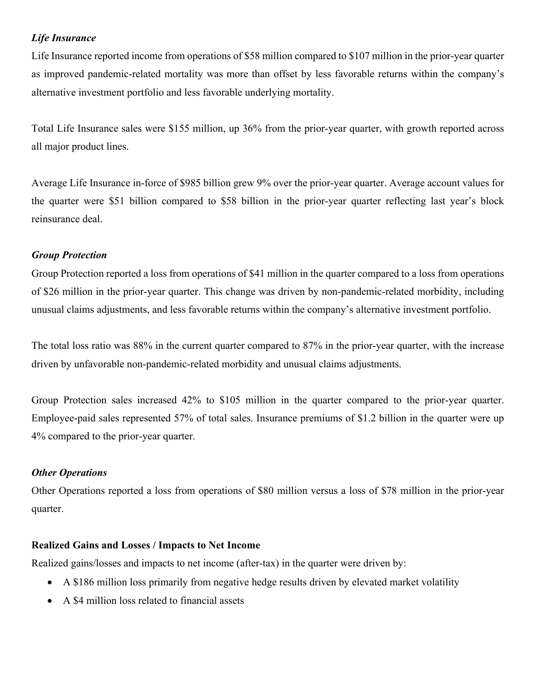# *Life Insurance*

Life Insurance reported income from operations of \$58 million compared to \$107 million in the prior-year quarter as improved pandemic-related mortality was more than offset by less favorable returns within the company's alternative investment portfolio and less favorable underlying mortality.

Total Life Insurance sales were \$155 million, up 36% from the prior-year quarter, with growth reported across all major product lines.

Average Life Insurance in-force of \$985 billion grew 9% over the prior-year quarter. Average account values for the quarter were \$51 billion compared to \$58 billion in the prior-year quarter reflecting last year's block reinsurance deal.

# *Group Protection*

Group Protection reported a loss from operations of \$41 million in the quarter compared to a loss from operations of \$26 million in the prior-year quarter. This change was driven by non-pandemic-related morbidity, including unusual claims adjustments, and less favorable returns within the company's alternative investment portfolio.

The total loss ratio was 88% in the current quarter compared to 87% in the prior-year quarter, with the increase driven by unfavorable non-pandemic-related morbidity and unusual claims adjustments.

Group Protection sales increased 42% to \$105 million in the quarter compared to the prior-year quarter. Employee-paid sales represented 57% of total sales. Insurance premiums of \$1.2 billion in the quarter were up 4% compared to the prior-year quarter.

# *Other Operations*

Other Operations reported a loss from operations of \$80 million versus a loss of \$78 million in the prior-year quarter.

# **Realized Gains and Losses / Impacts to Net Income**

Realized gains/losses and impacts to net income (after-tax) in the quarter were driven by:

- A \$186 million loss primarily from negative hedge results driven by elevated market volatility
- A \$4 million loss related to financial assets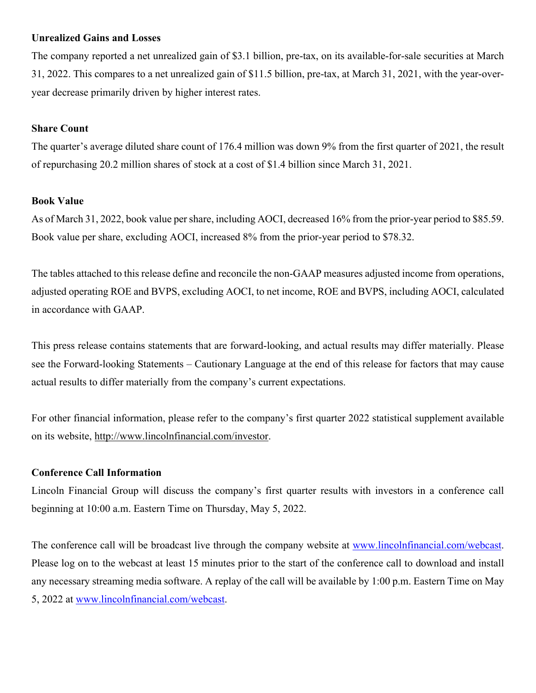### **Unrealized Gains and Losses**

The company reported a net unrealized gain of \$3.1 billion, pre-tax, on its available-for-sale securities at March 31, 2022. This compares to a net unrealized gain of \$11.5 billion, pre-tax, at March 31, 2021, with the year-overyear decrease primarily driven by higher interest rates.

### **Share Count**

The quarter's average diluted share count of 176.4 million was down 9% from the first quarter of 2021, the result of repurchasing 20.2 million shares of stock at a cost of \$1.4 billion since March 31, 2021.

### **Book Value**

As of March 31, 2022, book value per share, including AOCI, decreased 16% from the prior-year period to \$85.59. Book value per share, excluding AOCI, increased 8% from the prior-year period to \$78.32.

The tables attached to this release define and reconcile the non-GAAP measures adjusted income from operations, adjusted operating ROE and BVPS, excluding AOCI, to net income, ROE and BVPS, including AOCI, calculated in accordance with GAAP.

This press release contains statements that are forward-looking, and actual results may differ materially. Please see the Forward-looking Statements – Cautionary Language at the end of this release for factors that may cause actual results to differ materially from the company's current expectations.

For other financial information, please refer to the company's first quarter 2022 statistical supplement available on its website, [http://www.lincolnfinancial.com/investor.](http://www.lfg.com/investor)

### **Conference Call Information**

Lincoln Financial Group will discuss the company's first quarter results with investors in a conference call beginning at 10:00 a.m. Eastern Time on Thursday, May 5, 2022.

The conference call will be broadcast live through the company website at [www.lincolnfinancial.com/webcast.](http://www.lincolnfinancial.com/webcast) Please log on to the webcast at least 15 minutes prior to the start of the conference call to download and install any necessary streaming media software. A replay of the call will be available by 1:00 p.m. Eastern Time on May 5, 2022 at [www.lincolnfinancial.com/webcast.](http://www.lincolnfinancial.com/webcast)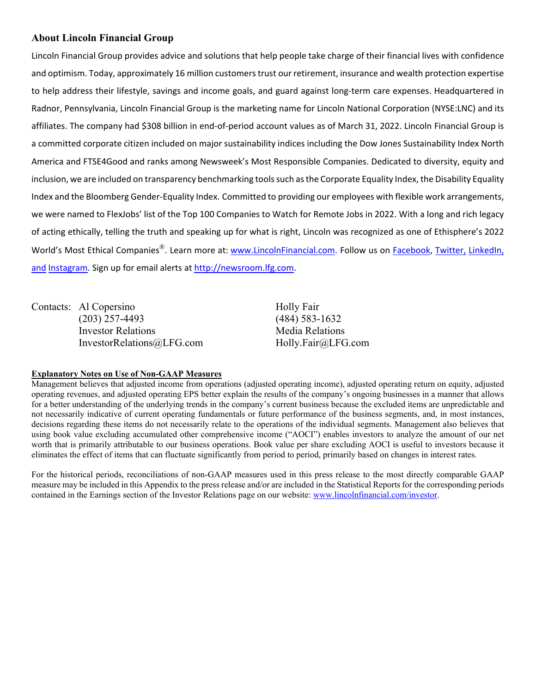### **About Lincoln Financial Group**

Lincoln Financial Group provides advice and solutions that help people take charge of their financial lives with confidence and optimism. Today, approximately 16 million customers trust our retirement, insurance and wealth protection expertise to help address their lifestyle, savings and income goals, and guard against long-term care expenses. Headquartered in Radnor, Pennsylvania, Lincoln Financial Group is the marketing name for Lincoln National Corporation (NYSE:LNC) and its affiliates. The company had \$308 billion in end-of-period account values as of March 31, 2022. Lincoln Financial Group is a committed corporate citizen included on major sustainability indices including the Dow Jones Sustainability Index North America and FTSE4Good and ranks among Newsweek's Most Responsible Companies. Dedicated to diversity, equity and inclusion, we are included on transparency benchmarking tools such as the Corporate Equality Index, the Disability Equality Index and the Bloomberg Gender-Equality Index. Committed to providing our employees with flexible work arrangements, we were named to FlexJobs' list of the Top 100 Companies to Watch for Remote Jobs in 2022. With a long and rich legacy of acting ethically, telling the truth and speaking up for what is right, Lincoln was recognized as one of Ethisphere's [2022](https://cts.businesswire.com/ct/CT?id=smartlink&url=https%3A%2F%2Fworldsmostethicalcompanies.com%2Fhonorees&esheet=52597552&newsitemid=20220315005946&lan=en-US&anchor=2022+World%26%238217%3Bs+Most+Ethical+Companies&index=1&md5=52ad37c7658315ba2fb2309e3570170e)  [World's Most Ethical Companies](https://cts.businesswire.com/ct/CT?id=smartlink&url=https%3A%2F%2Fworldsmostethicalcompanies.com%2Fhonorees&esheet=52597552&newsitemid=20220315005946&lan=en-US&anchor=2022+World%26%238217%3Bs+Most+Ethical+Companies&index=1&md5=52ad37c7658315ba2fb2309e3570170e)<sup>®</sup>. Learn more at: [www.LincolnFinancial.com.](http://www.lincolnfinancial.com/) Follow us on [Facebook,](http://www.facebook.com/lincolnfinancialgroup) [Twitter,](https://mobile.twitter.com/lincolnfingroup) LinkedIn, and [Instagram.](https://www.instagram.com/lincolnfingroup/) Sign up for email alerts at [http://newsroom.lfg.com.](http://newsroom.lfg.com/)

| Contacts: Al Copersino    | Holly Fair         |
|---------------------------|--------------------|
| $(203)$ 257-4493          | $(484)$ 583-1632   |
| Investor Relations        | Media Relations    |
| InvestorRelations@LFG.com | Holly.Fair@LFG.com |

#### **Explanatory Notes on Use of Non-GAAP Measures**

Management believes that adjusted income from operations (adjusted operating income), adjusted operating return on equity, adjusted operating revenues, and adjusted operating EPS better explain the results of the company's ongoing businesses in a manner that allows for a better understanding of the underlying trends in the company's current business because the excluded items are unpredictable and not necessarily indicative of current operating fundamentals or future performance of the business segments, and, in most instances, decisions regarding these items do not necessarily relate to the operations of the individual segments. Management also believes that using book value excluding accumulated other comprehensive income ("AOCI") enables investors to analyze the amount of our net worth that is primarily attributable to our business operations. Book value per share excluding AOCI is useful to investors because it eliminates the effect of items that can fluctuate significantly from period to period, primarily based on changes in interest rates.

For the historical periods, reconciliations of non-GAAP measures used in this press release to the most directly comparable GAAP measure may be included in this Appendix to the press release and/or are included in the Statistical Reports for the corresponding periods contained in the Earnings section of the Investor Relations page on our website: [www.lincolnfinancial.com/investor.](http://www.lincolnfinancial.com/investor)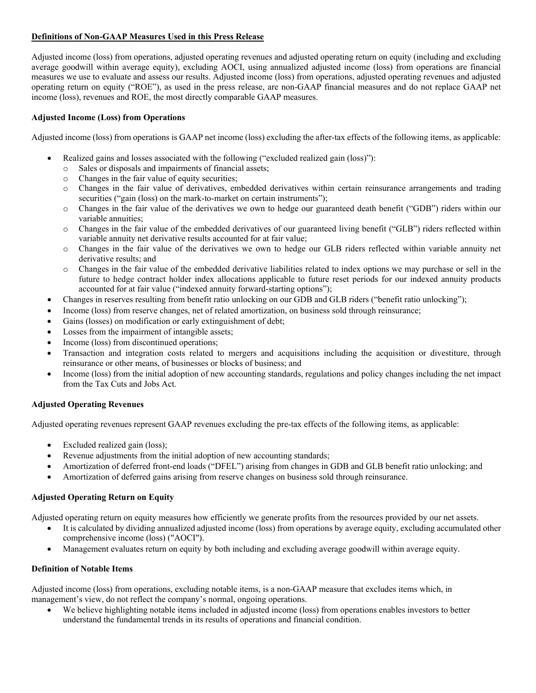### **Definitions of Non-GAAP Measures Used in this Press Release**

Adjusted income (loss) from operations, adjusted operating revenues and adjusted operating return on equity (including and excluding average goodwill within average equity), excluding AOCI, using annualized adjusted income (loss) from operations are financial measures we use to evaluate and assess our results. Adjusted income (loss) from operations, adjusted operating revenues and adjusted operating return on equity ("ROE"), as used in the press release, are non-GAAP financial measures and do not replace GAAP net income (loss), revenues and ROE, the most directly comparable GAAP measures.

#### **Adjusted Income (Loss) from Operations**

Adjusted income (loss) from operations is GAAP net income (loss) excluding the after-tax effects of the following items, as applicable:

- Realized gains and losses associated with the following ("excluded realized gain (loss)"):
	- $\circ$  Sales or disposals and impairments of financial assets;<br> $\circ$  Changes in the fair value of equity securities:
	- Changes in the fair value of equity securities;
	- o Changes in the fair value of derivatives, embedded derivatives within certain reinsurance arrangements and trading securities ("gain (loss) on the mark-to-market on certain instruments");
	- o Changes in the fair value of the derivatives we own to hedge our guaranteed death benefit ("GDB") riders within our variable annuities;
	- o Changes in the fair value of the embedded derivatives of our guaranteed living benefit ("GLB") riders reflected within variable annuity net derivative results accounted for at fair value;
	- o Changes in the fair value of the derivatives we own to hedge our GLB riders reflected within variable annuity net derivative results; and
	- o Changes in the fair value of the embedded derivative liabilities related to index options we may purchase or sell in the future to hedge contract holder index allocations applicable to future reset periods for our indexed annuity products accounted for at fair value ("indexed annuity forward-starting options");
- Changes in reserves resulting from benefit ratio unlocking on our GDB and GLB riders ("benefit ratio unlocking");
- Income (loss) from reserve changes, net of related amortization, on business sold through reinsurance;
- Gains (losses) on modification or early extinguishment of debt;
- Losses from the impairment of intangible assets;
- Income (loss) from discontinued operations;
- Transaction and integration costs related to mergers and acquisitions including the acquisition or divestiture, through reinsurance or other means, of businesses or blocks of business; and
- Income (loss) from the initial adoption of new accounting standards, regulations and policy changes including the net impact from the Tax Cuts and Jobs Act.

### **Adjusted Operating Revenues**

Adjusted operating revenues represent GAAP revenues excluding the pre-tax effects of the following items, as applicable:

- Excluded realized gain (loss);
- Revenue adjustments from the initial adoption of new accounting standards;
- Amortization of deferred front-end loads ("DFEL") arising from changes in GDB and GLB benefit ratio unlocking; and
- Amortization of deferred gains arising from reserve changes on business sold through reinsurance.

### **Adjusted Operating Return on Equity**

Adjusted operating return on equity measures how efficiently we generate profits from the resources provided by our net assets.

- It is calculated by dividing annualized adjusted income (loss) from operations by average equity, excluding accumulated other comprehensive income (loss) ("AOCI").
- Management evaluates return on equity by both including and excluding average goodwill within average equity.

#### **Definition of Notable Items**

Adjusted income (loss) from operations, excluding notable items, is a non-GAAP measure that excludes items which, in management's view, do not reflect the company's normal, ongoing operations.

• We believe highlighting notable items included in adjusted income (loss) from operations enables investors to better understand the fundamental trends in its results of operations and financial condition.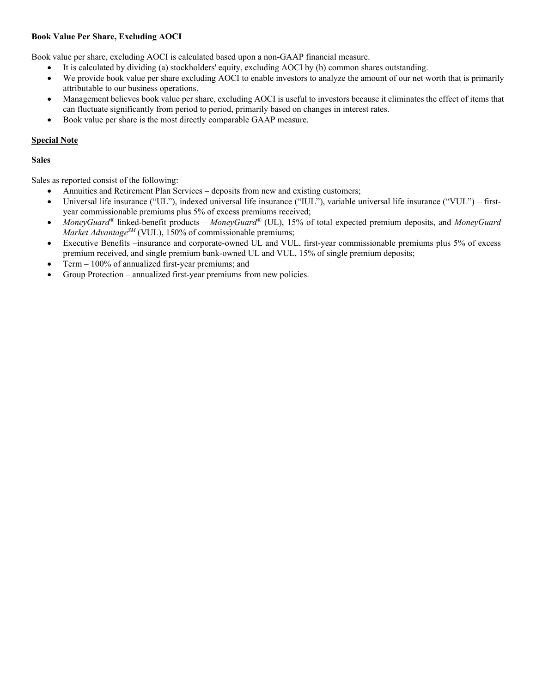#### **Book Value Per Share, Excluding AOCI**

Book value per share, excluding AOCI is calculated based upon a non-GAAP financial measure.

- It is calculated by dividing (a) stockholders' equity, excluding AOCI by (b) common shares outstanding.
- We provide book value per share excluding AOCI to enable investors to analyze the amount of our net worth that is primarily attributable to our business operations.
- Management believes book value per share, excluding AOCI is useful to investors because it eliminates the effect of items that can fluctuate significantly from period to period, primarily based on changes in interest rates.
- Book value per share is the most directly comparable GAAP measure.

#### **Special Note**

#### **Sales**

Sales as reported consist of the following:

- Annuities and Retirement Plan Services deposits from new and existing customers;
- Universal life insurance ("UL"), indexed universal life insurance ("IUL"), variable universal life insurance ("VUL") firstyear commissionable premiums plus 5% of excess premiums received;
- *MoneyGuard®* linked-benefit products *MoneyGuard®* (UL), 15% of total expected premium deposits, and *MoneyGuard Market Advantage<sup>SM</sup>* (VUL), 150% of commissionable premiums;
- Executive Benefits –insurance and corporate-owned UL and VUL, first-year commissionable premiums plus 5% of excess premium received, and single premium bank-owned UL and VUL, 15% of single premium deposits;
- Term  $-100\%$  of annualized first-year premiums; and
- Group Protection annualized first-year premiums from new policies.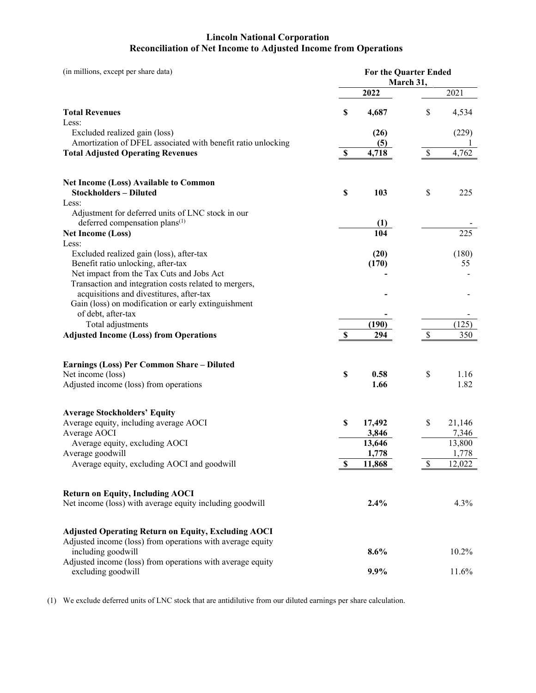### **Lincoln National Corporation Reconciliation of Net Income to Adjusted Income from Operations**

| (in millions, except per share data)                                                              | <b>For the Quarter Ended</b><br>March 31, |             |                            |        |
|---------------------------------------------------------------------------------------------------|-------------------------------------------|-------------|----------------------------|--------|
|                                                                                                   |                                           | 2022        |                            | 2021   |
| <b>Total Revenues</b><br>Less:                                                                    | \$                                        | 4,687       | \$                         | 4,534  |
| Excluded realized gain (loss)<br>Amortization of DFEL associated with benefit ratio unlocking     |                                           | (26)<br>(5) |                            | (229)  |
| <b>Total Adjusted Operating Revenues</b>                                                          | $\boldsymbol{\mathsf{S}}$                 | 4,718       | \$                         | 4,762  |
| <b>Net Income (Loss) Available to Common</b>                                                      |                                           |             |                            |        |
| <b>Stockholders-Diluted</b>                                                                       | \$                                        | 103         | \$                         | 225    |
| Less:<br>Adjustment for deferred units of LNC stock in our<br>deferred compensation plans $(1)$   |                                           | (1)         |                            |        |
| <b>Net Income (Loss)</b>                                                                          |                                           | 104         |                            | 225    |
| Less:                                                                                             |                                           |             |                            |        |
| Excluded realized gain (loss), after-tax                                                          |                                           | (20)        |                            | (180)  |
| Benefit ratio unlocking, after-tax                                                                |                                           | (170)       |                            | 55     |
| Net impact from the Tax Cuts and Jobs Act                                                         |                                           |             |                            |        |
| Transaction and integration costs related to mergers,<br>acquisitions and divestitures, after-tax |                                           |             |                            |        |
| Gain (loss) on modification or early extinguishment                                               |                                           |             |                            |        |
| of debt, after-tax                                                                                |                                           |             |                            |        |
| Total adjustments                                                                                 |                                           | (190)       |                            | (125)  |
| <b>Adjusted Income (Loss) from Operations</b>                                                     | $\boldsymbol{\mathsf{S}}$                 | 294         | $\boldsymbol{\mathcal{S}}$ | 350    |
|                                                                                                   |                                           |             |                            |        |
| Earnings (Loss) Per Common Share - Diluted                                                        |                                           |             |                            |        |
| Net income (loss)                                                                                 | $\mathbb S$                               | 0.58        | \$                         | 1.16   |
| Adjusted income (loss) from operations                                                            |                                           | 1.66        |                            | 1.82   |
| <b>Average Stockholders' Equity</b>                                                               |                                           |             |                            |        |
| Average equity, including average AOCI                                                            | S                                         | 17,492      | \$                         | 21,146 |
| Average AOCI                                                                                      |                                           | 3,846       |                            | 7,346  |
| Average equity, excluding AOCI                                                                    |                                           | 13,646      |                            | 13,800 |
| Average goodwill                                                                                  |                                           | 1,778       |                            | 1,778  |
| Average equity, excluding AOCI and goodwill                                                       | S                                         | 11,868      | \$                         | 12,022 |
| <b>Return on Equity, Including AOCI</b>                                                           |                                           |             |                            |        |
| Net income (loss) with average equity including goodwill                                          |                                           | 2.4%        |                            | 4.3%   |
|                                                                                                   |                                           |             |                            |        |
| <b>Adjusted Operating Return on Equity, Excluding AOCI</b>                                        |                                           |             |                            |        |
| Adjusted income (loss) from operations with average equity                                        |                                           |             |                            |        |
| including goodwill<br>Adjusted income (loss) from operations with average equity                  |                                           | 8.6%        |                            | 10.2%  |
| excluding goodwill                                                                                |                                           | 9.9%        |                            | 11.6%  |

(1) We exclude deferred units of LNC stock that are antidilutive from our diluted earnings per share calculation.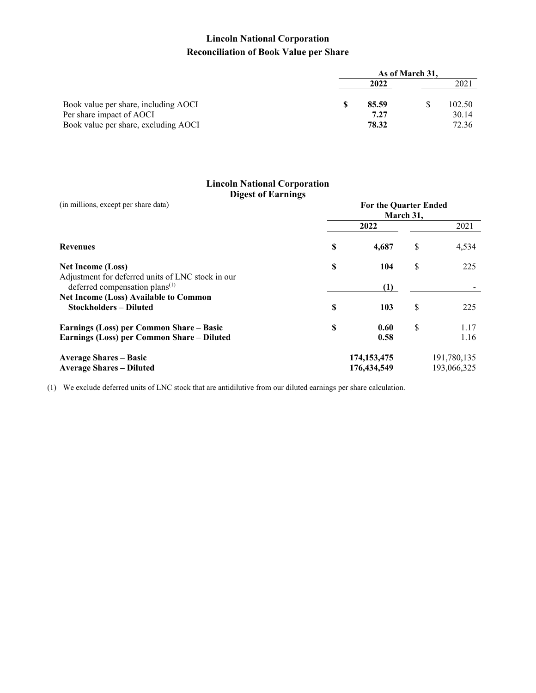# **Lincoln National Corporation Reconciliation of Book Value per Share**

|                                      | As of March 31, |       |      |        |
|--------------------------------------|-----------------|-------|------|--------|
|                                      | 2022            |       | 2021 |        |
| Book value per share, including AOCI |                 | 85.59 |      | 102.50 |
| Per share impact of AOCI             |                 | 7.27  |      | 30.14  |
| Book value per share, excluding AOCI |                 | 78.32 |      | 72.36  |

### **Lincoln National Corporation Digest of Earnings**

| (in millions, except per share data)                                                   | <b>For the Quarter Ended</b><br>March 31, |             |      |             |  |
|----------------------------------------------------------------------------------------|-------------------------------------------|-------------|------|-------------|--|
|                                                                                        | 2022                                      |             | 2021 |             |  |
| <b>Revenues</b>                                                                        | \$                                        | 4,687       | \$   | 4,534       |  |
| <b>Net Income (Loss)</b>                                                               | S                                         | 104         | \$   | 225         |  |
| Adjustment for deferred units of LNC stock in our<br>deferred compensation plans $(1)$ |                                           | (1)         |      |             |  |
| <b>Net Income (Loss) Available to Common</b>                                           |                                           |             |      |             |  |
| <b>Stockholders – Diluted</b>                                                          | S                                         | 103         | \$   | 225         |  |
| Earnings (Loss) per Common Share - Basic                                               | S                                         | 0.60        | \$   | 1.17        |  |
| Earnings (Loss) per Common Share - Diluted                                             |                                           | 0.58        |      | 1.16        |  |
| <b>Average Shares – Basic</b>                                                          | 174, 153, 475                             |             |      | 191,780,135 |  |
| <b>Average Shares – Diluted</b>                                                        |                                           | 176,434,549 |      | 193,066,325 |  |

(1) We exclude deferred units of LNC stock that are antidilutive from our diluted earnings per share calculation.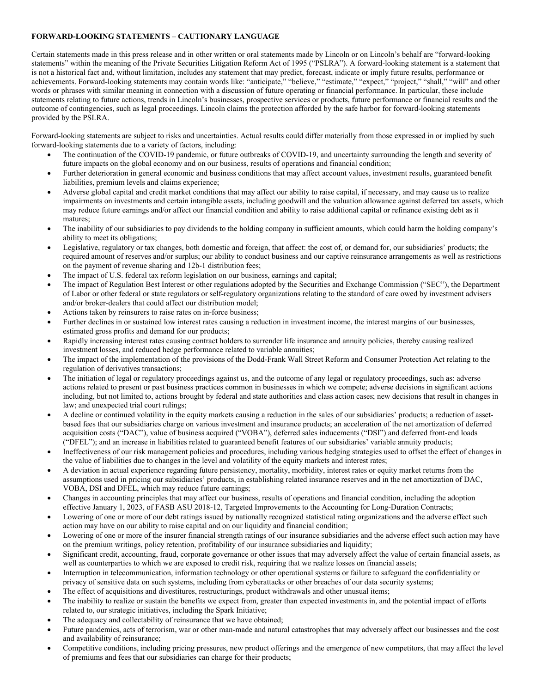#### **FORWARD-LOOKING STATEMENTS** – **CAUTIONARY LANGUAGE**

Certain statements made in this press release and in other written or oral statements made by Lincoln or on Lincoln's behalf are "forward-looking statements" within the meaning of the Private Securities Litigation Reform Act of 1995 ("PSLRA"). A forward-looking statement is a statement that is not a historical fact and, without limitation, includes any statement that may predict, forecast, indicate or imply future results, performance or achievements. Forward-looking statements may contain words like: "anticipate," "believe," "estimate," "expect," "project," "shall," "will" and other words or phrases with similar meaning in connection with a discussion of future operating or financial performance. In particular, these include statements relating to future actions, trends in Lincoln's businesses, prospective services or products, future performance or financial results and the outcome of contingencies, such as legal proceedings. Lincoln claims the protection afforded by the safe harbor for forward-looking statements provided by the PSLRA.

Forward-looking statements are subject to risks and uncertainties. Actual results could differ materially from those expressed in or implied by such forward-looking statements due to a variety of factors, including:

- The continuation of the COVID-19 pandemic, or future outbreaks of COVID-19, and uncertainty surrounding the length and severity of future impacts on the global economy and on our business, results of operations and financial condition;
- Further deterioration in general economic and business conditions that may affect account values, investment results, guaranteed benefit liabilities, premium levels and claims experience;
- Adverse global capital and credit market conditions that may affect our ability to raise capital, if necessary, and may cause us to realize impairments on investments and certain intangible assets, including goodwill and the valuation allowance against deferred tax assets, which may reduce future earnings and/or affect our financial condition and ability to raise additional capital or refinance existing debt as it matures;
- The inability of our subsidiaries to pay dividends to the holding company in sufficient amounts, which could harm the holding company's ability to meet its obligations;
- Legislative, regulatory or tax changes, both domestic and foreign, that affect: the cost of, or demand for, our subsidiaries' products; the required amount of reserves and/or surplus; our ability to conduct business and our captive reinsurance arrangements as well as restrictions on the payment of revenue sharing and 12b-1 distribution fees;
- The impact of U.S. federal tax reform legislation on our business, earnings and capital;
- The impact of Regulation Best Interest or other regulations adopted by the Securities and Exchange Commission ("SEC"), the Department of Labor or other federal or state regulators or self-regulatory organizations relating to the standard of care owed by investment advisers and/or broker-dealers that could affect our distribution model;
- Actions taken by reinsurers to raise rates on in-force business;
- Further declines in or sustained low interest rates causing a reduction in investment income, the interest margins of our businesses, estimated gross profits and demand for our products;
- Rapidly increasing interest rates causing contract holders to surrender life insurance and annuity policies, thereby causing realized investment losses, and reduced hedge performance related to variable annuities;
- The impact of the implementation of the provisions of the Dodd-Frank Wall Street Reform and Consumer Protection Act relating to the regulation of derivatives transactions;
- The initiation of legal or regulatory proceedings against us, and the outcome of any legal or regulatory proceedings, such as: adverse actions related to present or past business practices common in businesses in which we compete; adverse decisions in significant actions including, but not limited to, actions brought by federal and state authorities and class action cases; new decisions that result in changes in law; and unexpected trial court rulings;
- A decline or continued volatility in the equity markets causing a reduction in the sales of our subsidiaries' products; a reduction of assetbased fees that our subsidiaries charge on various investment and insurance products; an acceleration of the net amortization of deferred acquisition costs ("DAC"), value of business acquired ("VOBA"), deferred sales inducements ("DSI") and deferred front-end loads ("DFEL"); and an increase in liabilities related to guaranteed benefit features of our subsidiaries' variable annuity products;
- Ineffectiveness of our risk management policies and procedures, including various hedging strategies used to offset the effect of changes in the value of liabilities due to changes in the level and volatility of the equity markets and interest rates;
- A deviation in actual experience regarding future persistency, mortality, morbidity, interest rates or equity market returns from the assumptions used in pricing our subsidiaries' products, in establishing related insurance reserves and in the net amortization of DAC, VOBA, DSI and DFEL, which may reduce future earnings;
- Changes in accounting principles that may affect our business, results of operations and financial condition, including the adoption effective January 1, 2023, of FASB ASU 2018-12, Targeted Improvements to the Accounting for Long-Duration Contracts;
- Lowering of one or more of our debt ratings issued by nationally recognized statistical rating organizations and the adverse effect such action may have on our ability to raise capital and on our liquidity and financial condition;
- Lowering of one or more of the insurer financial strength ratings of our insurance subsidiaries and the adverse effect such action may have on the premium writings, policy retention, profitability of our insurance subsidiaries and liquidity;
- Significant credit, accounting, fraud, corporate governance or other issues that may adversely affect the value of certain financial assets, as well as counterparties to which we are exposed to credit risk, requiring that we realize losses on financial assets;
- Interruption in telecommunication, information technology or other operational systems or failure to safeguard the confidentiality or privacy of sensitive data on such systems, including from cyberattacks or other breaches of our data security systems;
- The effect of acquisitions and divestitures, restructurings, product withdrawals and other unusual items;
- The inability to realize or sustain the benefits we expect from, greater than expected investments in, and the potential impact of efforts related to, our strategic initiatives, including the Spark Initiative;
- The adequacy and collectability of reinsurance that we have obtained;
- Future pandemics, acts of terrorism, war or other man-made and natural catastrophes that may adversely affect our businesses and the cost and availability of reinsurance;
- Competitive conditions, including pricing pressures, new product offerings and the emergence of new competitors, that may affect the level of premiums and fees that our subsidiaries can charge for their products;